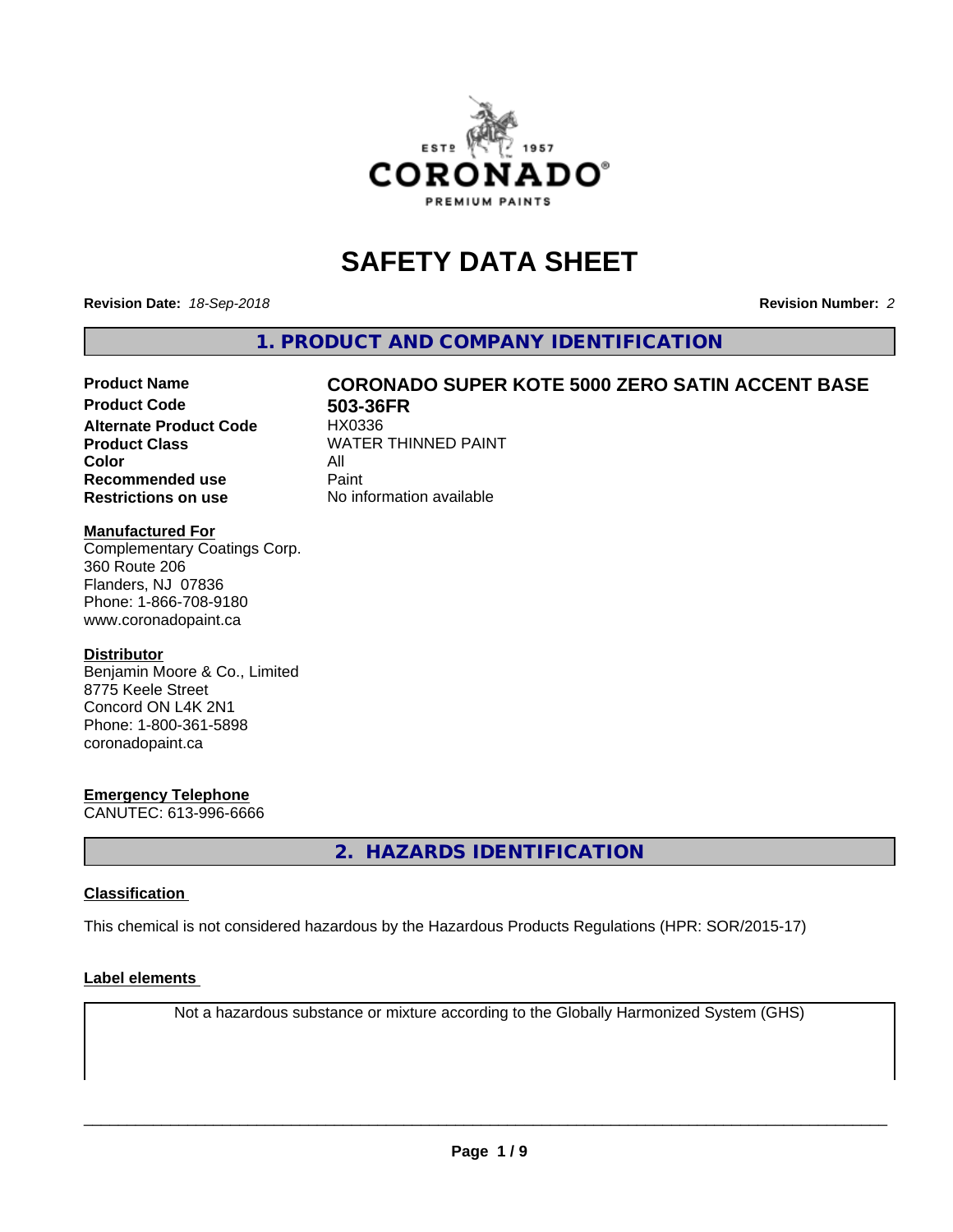

# **SAFETY DATA SHEET**

**Revision Date:** *18-Sep-2018* **Revision Number:** *2*

**1. PRODUCT AND COMPANY IDENTIFICATION**

# Product Name **CORONADO SUPER KOTE 5000 ZERO SATIN ACCENT BASE**<br>Product Code **601-1868** 503-36FR

**Alternate Product Code Color** All<br> **Recommended use** Paint **Recommended use Restrictions on use** No information available

**503-36FR**<br>HX0336 **Product Class WATER THINNED PAINT** 

#### **Manufactured For**

Complementary Coatings Corp. 360 Route 206 Flanders, NJ 07836 Phone: 1-866-708-9180 www.coronadopaint.ca

#### **Distributor**

Benjamin Moore & Co., Limited 8775 Keele Street Concord ON L4K 2N1 Phone: 1-800-361-5898 coronadopaint.ca

### **Emergency Telephone**

CANUTEC: 613-996-6666

**2. HAZARDS IDENTIFICATION**

### **Classification**

This chemical is not considered hazardous by the Hazardous Products Regulations (HPR: SOR/2015-17)

#### **Label elements**

Not a hazardous substance or mixture according to the Globally Harmonized System (GHS)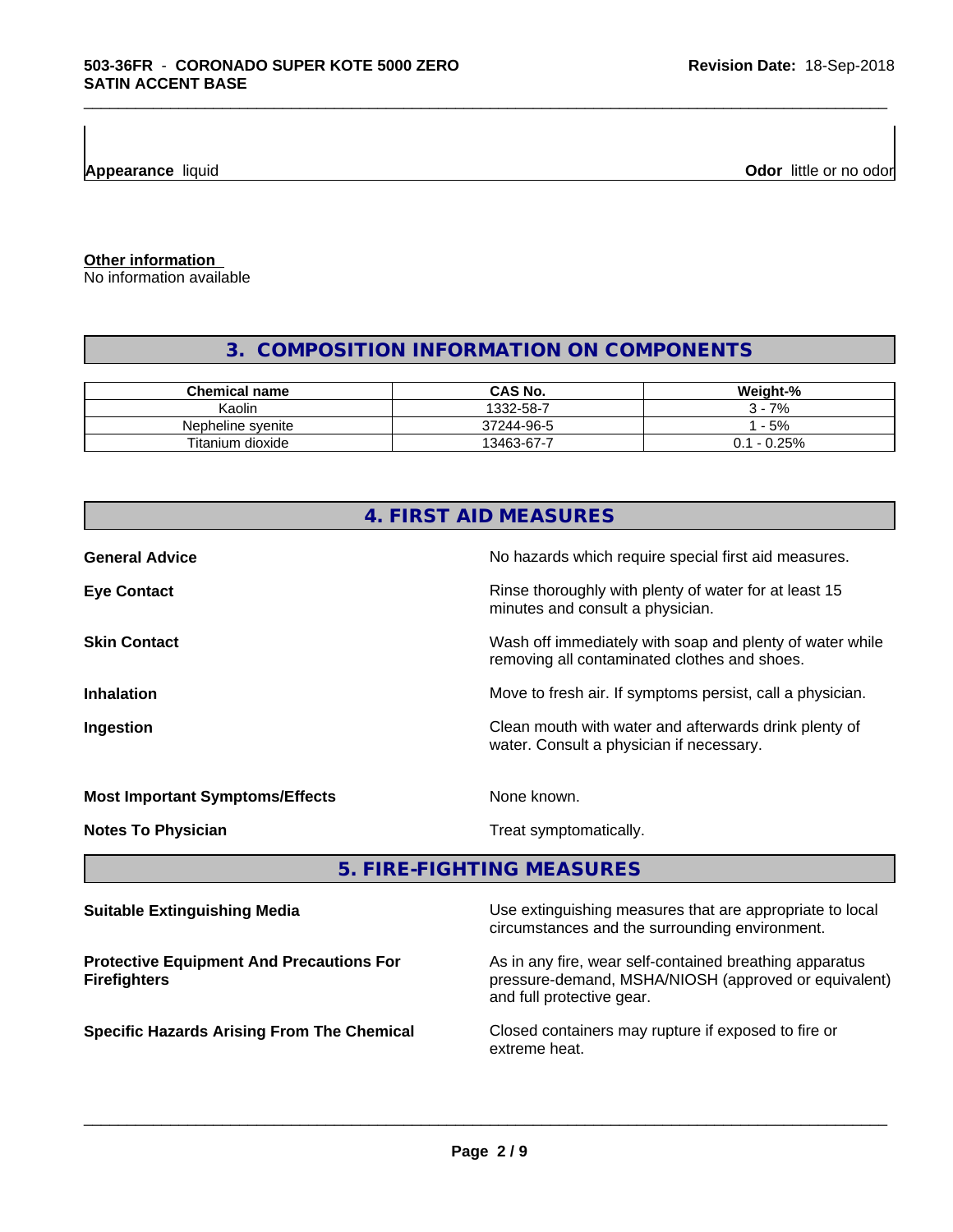**Appearance** liquid **Odor 11** and **Odor 11** and **Odor 11** and **Odor 11** and **Odor 11** and **Odor Odor** 11 and **Odor** 11 and **Odor** 11 and **Odor** 11 and **Odor** 11 and **Odor** 11 and 21 and 21 and 21 and 21 and 22 and 22 and

**Other information**

No information available

# **3. COMPOSITION INFORMATION ON COMPONENTS**

\_\_\_\_\_\_\_\_\_\_\_\_\_\_\_\_\_\_\_\_\_\_\_\_\_\_\_\_\_\_\_\_\_\_\_\_\_\_\_\_\_\_\_\_\_\_\_\_\_\_\_\_\_\_\_\_\_\_\_\_\_\_\_\_\_\_\_\_\_\_\_\_\_\_\_\_\_\_\_\_\_\_\_\_\_\_\_\_\_\_\_\_\_

| <b>Chemical name</b> | <b>CAS No.</b> | Weight-%              |
|----------------------|----------------|-----------------------|
| Kaolin               | 1332-58-7      | 7%                    |
| Nepheline syenite    | 37244-96-5     | $-5%$                 |
| Titanium dioxide     | 13463-67-7     | $-0.25%$<br>า ฯ<br>υ. |

| 4. FIRST AID MEASURES                           |                                                                                                            |  |
|-------------------------------------------------|------------------------------------------------------------------------------------------------------------|--|
| <b>General Advice</b>                           | No hazards which require special first aid measures.                                                       |  |
| <b>Eye Contact</b>                              | Rinse thoroughly with plenty of water for at least 15<br>minutes and consult a physician.                  |  |
| <b>Skin Contact</b>                             | Wash off immediately with soap and plenty of water while<br>removing all contaminated clothes and shoes.   |  |
| <b>Inhalation</b>                               | Move to fresh air. If symptoms persist, call a physician.                                                  |  |
| Ingestion                                       | Clean mouth with water and afterwards drink plenty of<br>water. Consult a physician if necessary.          |  |
| <b>Most Important Symptoms/Effects</b>          | None known.                                                                                                |  |
| <b>Notes To Physician</b>                       | Treat symptomatically.                                                                                     |  |
|                                                 | 5. FIRE-FIGHTING MEASURES                                                                                  |  |
| <b>Suitable Extinguishing Media</b>             | Use extinguishing measures that are appropriate to local<br>circumstances and the surrounding environment. |  |
| <b>Protective Equipment And Precautions For</b> | As in any fire, wear self-contained breathing apparatus                                                    |  |

**Firefighters**

As in any fire, wear self-contained breathing apparatus pressure-demand, MSHA/NIOSH (approved or equivalent) and full protective gear.

**Specific Hazards Arising From The Chemical Closed containers may rupture if exposed to fire or** extreme heat.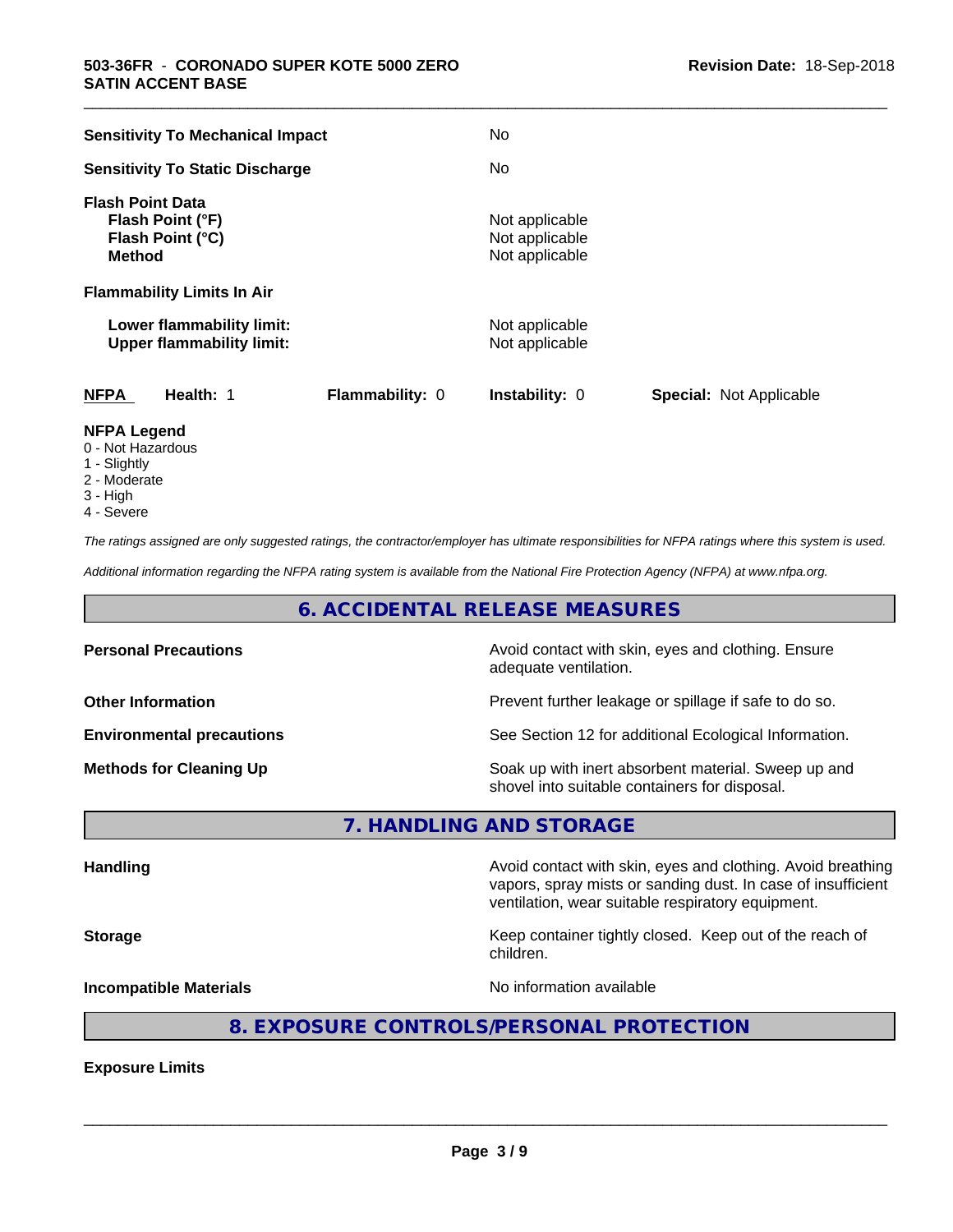| <b>Sensitivity To Mechanical Impact</b>                                          | No                                                      |
|----------------------------------------------------------------------------------|---------------------------------------------------------|
| <b>Sensitivity To Static Discharge</b>                                           | No.                                                     |
| <b>Flash Point Data</b><br>Flash Point (°F)<br>Flash Point (°C)<br><b>Method</b> | Not applicable<br>Not applicable<br>Not applicable      |
| <b>Flammability Limits In Air</b>                                                |                                                         |
| Lower flammability limit:<br><b>Upper flammability limit:</b>                    | Not applicable<br>Not applicable                        |
| <b>NFPA</b><br>Health: 1<br>Flammability: 0                                      | <b>Instability: 0</b><br><b>Special: Not Applicable</b> |
| NFPA Legend                                                                      |                                                         |

\_\_\_\_\_\_\_\_\_\_\_\_\_\_\_\_\_\_\_\_\_\_\_\_\_\_\_\_\_\_\_\_\_\_\_\_\_\_\_\_\_\_\_\_\_\_\_\_\_\_\_\_\_\_\_\_\_\_\_\_\_\_\_\_\_\_\_\_\_\_\_\_\_\_\_\_\_\_\_\_\_\_\_\_\_\_\_\_\_\_\_\_\_

- **NFPA Legend** 0 - Not Hazardous
- 1 Slightly
- 2 Moderate
- 3 High
- 4 Severe

*The ratings assigned are only suggested ratings, the contractor/employer has ultimate responsibilities for NFPA ratings where this system is used.*

*Additional information regarding the NFPA rating system is available from the National Fire Protection Agency (NFPA) at www.nfpa.org.*

# **6. ACCIDENTAL RELEASE MEASURES**

| <b>Personal Precautions</b>      | Avoid contact with skin, eyes and clothing. Ensure<br>adequate ventilation.                          |
|----------------------------------|------------------------------------------------------------------------------------------------------|
| <b>Other Information</b>         | Prevent further leakage or spillage if safe to do so.                                                |
| <b>Environmental precautions</b> | See Section 12 for additional Ecological Information.                                                |
| <b>Methods for Cleaning Up</b>   | Soak up with inert absorbent material. Sweep up and<br>shovel into suitable containers for disposal. |

**7. HANDLING AND STORAGE**

**Handling Handling Avoid contact with skin, eyes and clothing. Avoid breathing H** vapors, spray mists or sanding dust. In case of insufficient ventilation, wear suitable respiratory equipment. **Storage Keep container tightly closed. Keep out of the reach of the reach of the reach of the reach of the reach of the reach of the reach of the reach of the reach of the reach of the reach of the reach of the reach of** children. **Incompatible Materials Incompatible Materials No information available** 

# **8. EXPOSURE CONTROLS/PERSONAL PROTECTION**

**Exposure Limits**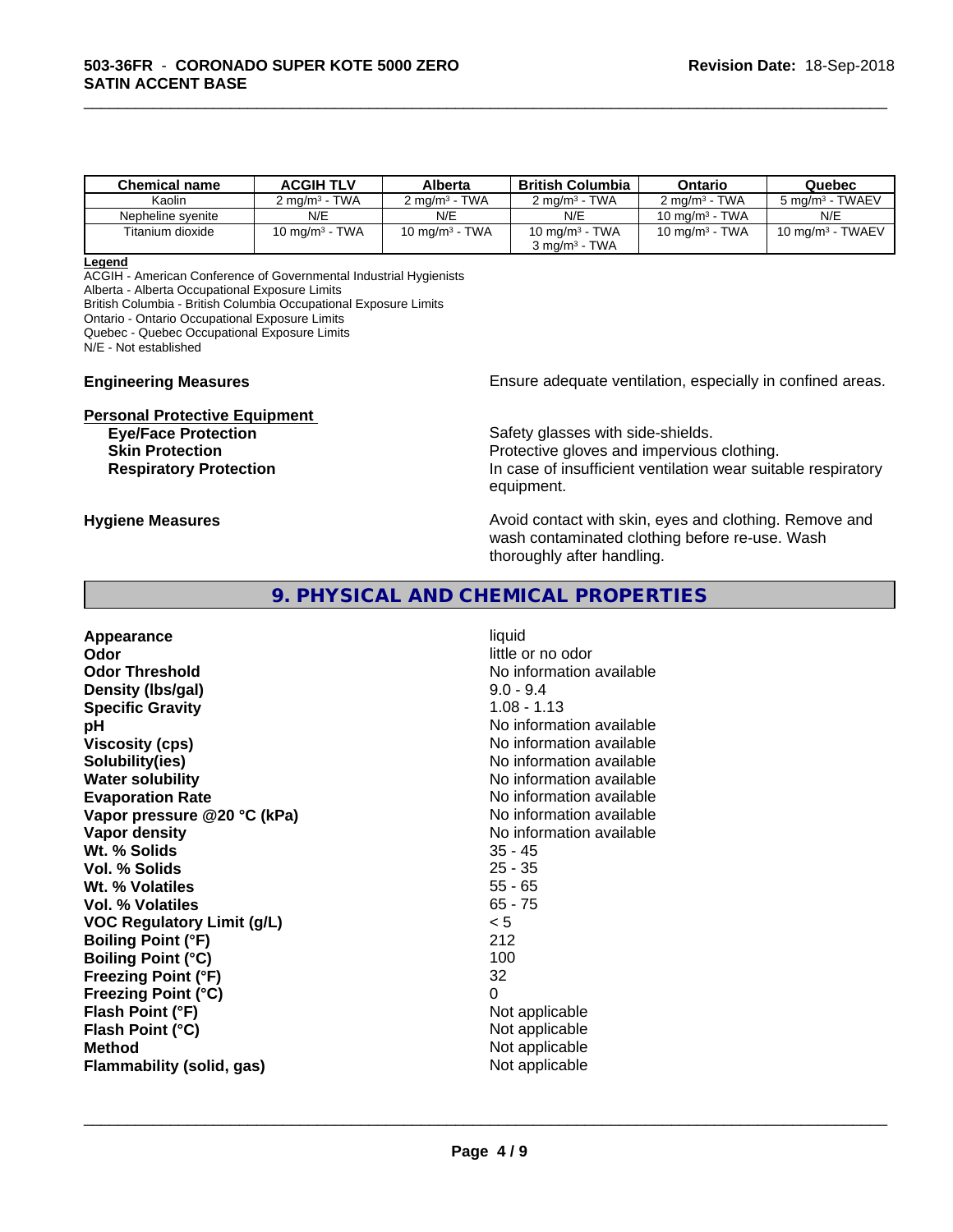| <b>Chemical name</b> | <b>ACGIH TLV</b>         | Alberta                  | <b>British Columbia</b>  | Ontario                  | Quebec                      |
|----------------------|--------------------------|--------------------------|--------------------------|--------------------------|-----------------------------|
| Kaolin               | $2 \text{ ma/m}^3$ - TWA | $2 \text{ ma/m}^3$ - TWA | $2 \text{ ma/m}^3$ - TWA | $2 \text{ ma/m}^3$ - TWA | 5 mg/m <sup>3</sup> - TWAEV |
| Nepheline svenite    | N/E                      | N/E                      | N/E                      | 10 mg/m $3$ - TWA        | N/E                         |
| Titanium dioxide     | 10 mg/m $3$ - TWA        | 10 mg/m $3$ - TWA        | 10 mg/m $3$ - TWA        | 10 mg/m $3$ - TWA        | 10 mg/m $3$ - TWAEV         |
|                      |                          |                          | $3 \text{ ma/m}^3$ - TWA |                          |                             |

\_\_\_\_\_\_\_\_\_\_\_\_\_\_\_\_\_\_\_\_\_\_\_\_\_\_\_\_\_\_\_\_\_\_\_\_\_\_\_\_\_\_\_\_\_\_\_\_\_\_\_\_\_\_\_\_\_\_\_\_\_\_\_\_\_\_\_\_\_\_\_\_\_\_\_\_\_\_\_\_\_\_\_\_\_\_\_\_\_\_\_\_\_

#### **Legend**

ACGIH - American Conference of Governmental Industrial Hygienists Alberta - Alberta Occupational Exposure Limits British Columbia - British Columbia Occupational Exposure Limits

Ontario - Ontario Occupational Exposure Limits

Quebec - Quebec Occupational Exposure Limits

N/E - Not established

**Personal Protective Equipment**

**Engineering Measures Ensure** Ensure adequate ventilation, especially in confined areas.

**Eye/Face Protection Safety glasses with side-shields. Skin Protection Protection Protective gloves and impervious clothing. Respiratory Protection In case of insufficient ventilation wear suitable respiratory** equipment.

**Hygiene Measures Avoid contact with skin, eyes and clothing. Remove and Avoid contact with skin, eyes and clothing. Remove and Avoid contact with skin, eyes and clothing. Remove and** wash contaminated clothing before re-use. Wash thoroughly after handling.

## **9. PHYSICAL AND CHEMICAL PROPERTIES**

**Appearance** liquid **Odor** little or no odor **Odor Threshold No information available No information available Density (lbs/gal)** 9.0 - 9.4 **Specific Gravity** 1.08 - 1.13 **pH** No information available **Viscosity (cps)** No information available<br> **Solubility (ies)** No information available<br>
No information available **Solubility(ies)** No information available **Water solubility Water solubility Water solubility Water solubility Water solubility Water solution Evaporation Rate No information available No information available Vapor pressure** @20 °C (kPa) **No information available Vapor density No information available Wt. % Solids** 35 - 45 **Vol. % Solids Wt. % Volatiles** 55 - 65 **Vol. % Volatiles** 65 - 75 **VOC Regulatory Limit (g/L)** < 5 **Boiling Point (°F)** 212 **Boiling Point (°C)** 100 **Freezing Point (°F)** 32 **Freezing Point (°C)** 0 **Flash Point (°F)** Not applicable **Flash Point (°C)** Not applicable **Method** Not applicable Not applicable **Flammability (solid, gas)** Not applicable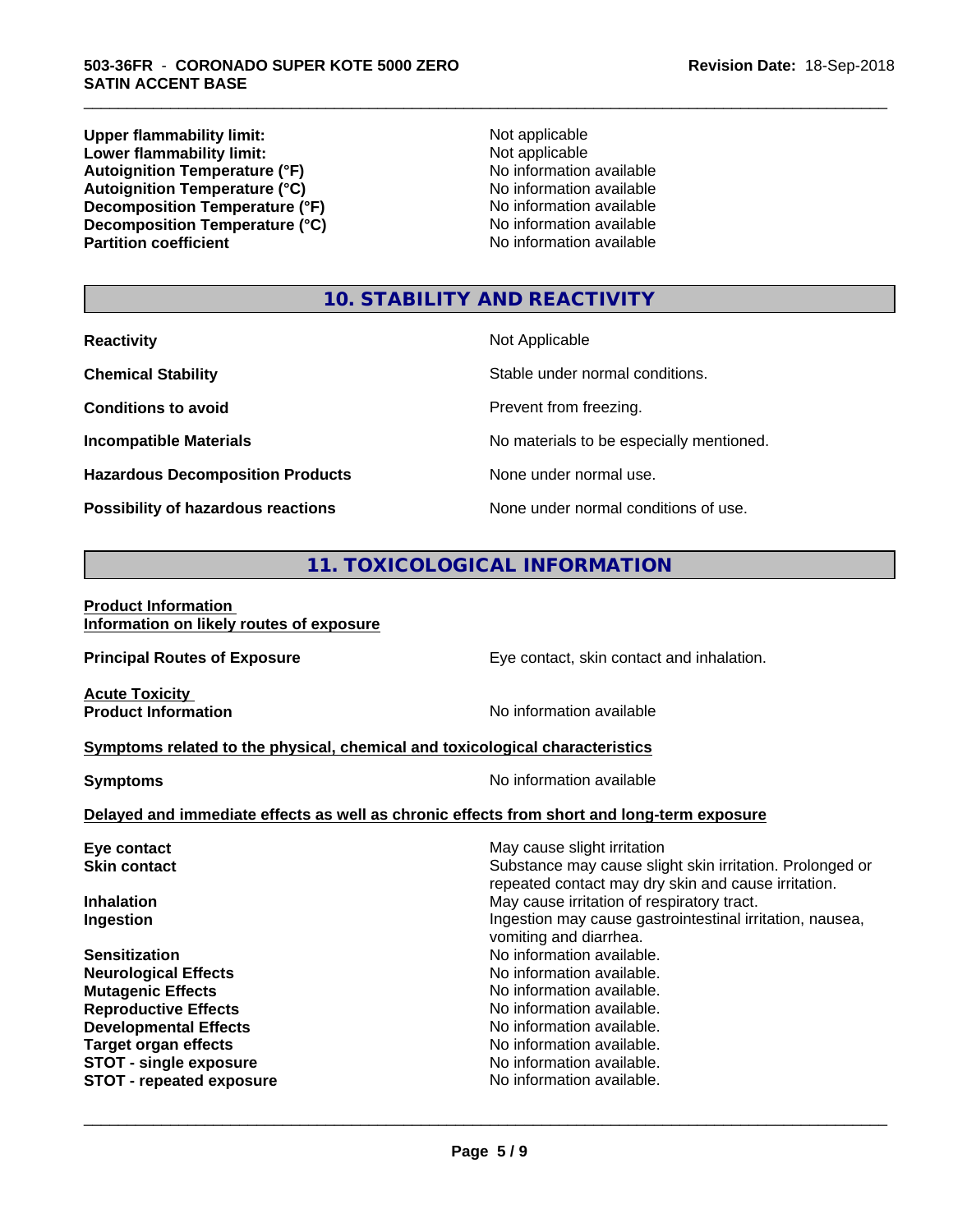**Upper flammability limit:**<br> **Lower flammability limit:**<br>
Not applicable<br>
Not applicable **Lower flammability limit:**<br> **Autoignition Temperature (°F)**<br>
Mo information available Autoignition Temperature (°F)<br>
Autoignition Temperature (°C)<br>
No information available Autoignition Temperature (°C)<br>
Decomposition Temperature (°F)<br>
No information available **Decomposition Temperature (°F)**<br> **Decomposition Temperature (°C)**<br>
No information available **Decomposition Temperature (°C) Partition coefficient** 

\_\_\_\_\_\_\_\_\_\_\_\_\_\_\_\_\_\_\_\_\_\_\_\_\_\_\_\_\_\_\_\_\_\_\_\_\_\_\_\_\_\_\_\_\_\_\_\_\_\_\_\_\_\_\_\_\_\_\_\_\_\_\_\_\_\_\_\_\_\_\_\_\_\_\_\_\_\_\_\_\_\_\_\_\_\_\_\_\_\_\_\_\_

# **10. STABILITY AND REACTIVITY**

| <b>Reactivity</b>                       | Not Applicable                           |
|-----------------------------------------|------------------------------------------|
| <b>Chemical Stability</b>               | Stable under normal conditions.          |
| <b>Conditions to avoid</b>              | Prevent from freezing.                   |
| <b>Incompatible Materials</b>           | No materials to be especially mentioned. |
| <b>Hazardous Decomposition Products</b> | None under normal use.                   |
| Possibility of hazardous reactions      | None under normal conditions of use.     |

# **11. TOXICOLOGICAL INFORMATION**

#### **Product Information Information on likely routes of exposure**

| <b>Principal Routes of Exposure</b>                                                        | Eye contact, skin contact and inhalation.                                                                       |  |  |  |
|--------------------------------------------------------------------------------------------|-----------------------------------------------------------------------------------------------------------------|--|--|--|
| <b>Acute Toxicity</b><br><b>Product Information</b>                                        | No information available                                                                                        |  |  |  |
| Symptoms related to the physical, chemical and toxicological characteristics               |                                                                                                                 |  |  |  |
| <b>Symptoms</b>                                                                            | No information available                                                                                        |  |  |  |
| Delayed and immediate effects as well as chronic effects from short and long-term exposure |                                                                                                                 |  |  |  |
| Eye contact                                                                                | May cause slight irritation                                                                                     |  |  |  |
| <b>Skin contact</b>                                                                        | Substance may cause slight skin irritation. Prolonged or<br>repeated contact may dry skin and cause irritation. |  |  |  |
| <b>Inhalation</b>                                                                          | May cause irritation of respiratory tract.                                                                      |  |  |  |
| Ingestion                                                                                  | Ingestion may cause gastrointestinal irritation, nausea,<br>vomiting and diarrhea.                              |  |  |  |
| <b>Sensitization</b>                                                                       | No information available.                                                                                       |  |  |  |
| <b>Neurological Effects</b>                                                                | No information available.                                                                                       |  |  |  |
| <b>Mutagenic Effects</b>                                                                   | No information available.                                                                                       |  |  |  |
| <b>Reproductive Effects</b>                                                                | No information available.                                                                                       |  |  |  |
| <b>Developmental Effects</b>                                                               | No information available.                                                                                       |  |  |  |
| <b>Target organ effects</b>                                                                | No information available.                                                                                       |  |  |  |
| <b>STOT - single exposure</b>                                                              | No information available.<br>No information available.                                                          |  |  |  |
| <b>STOT - repeated exposure</b>                                                            |                                                                                                                 |  |  |  |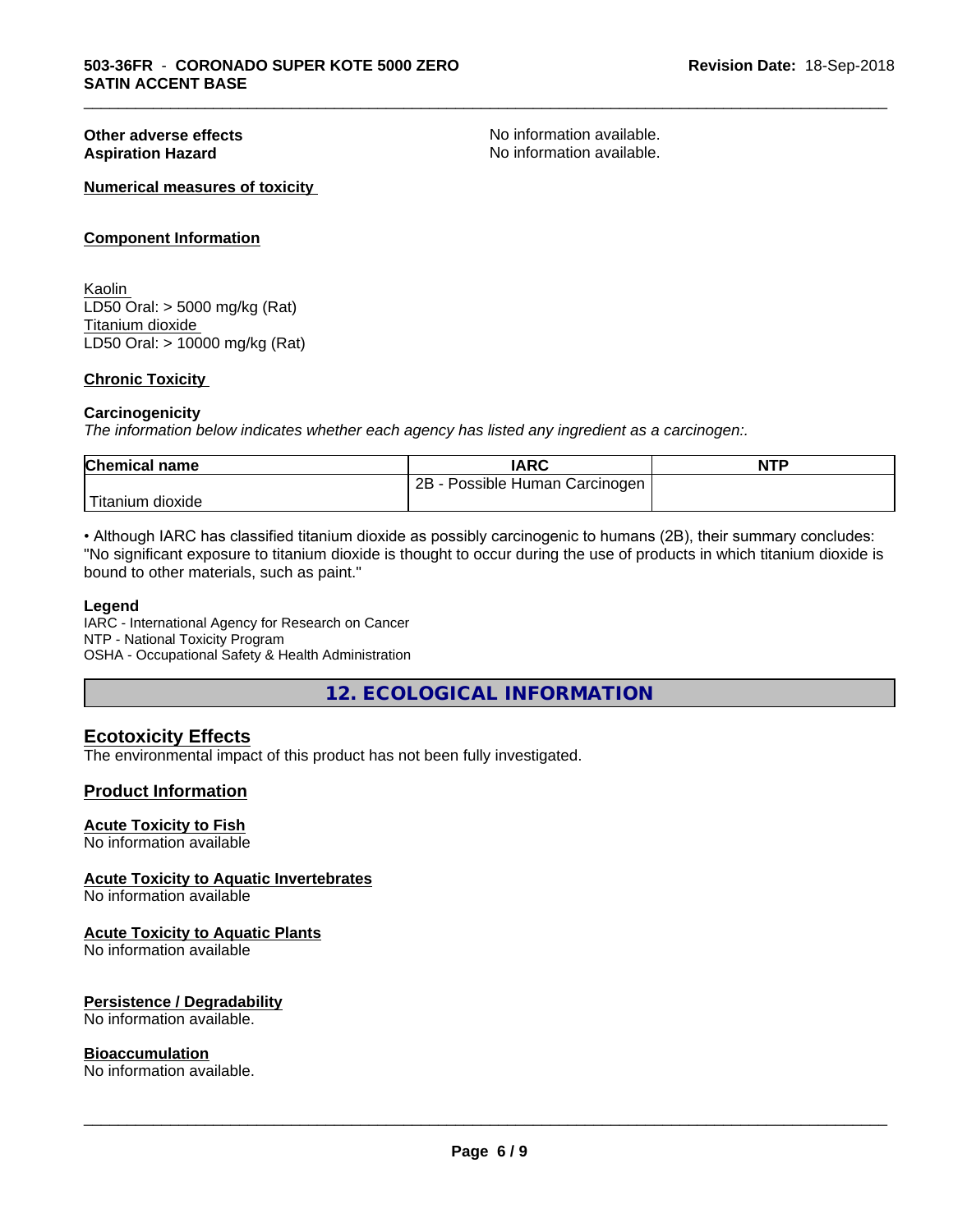**Other adverse effects**<br> **Aspiration Hazard**<br> **Aspiration Hazard**<br> **Aspiration Available.**<br>
No information available. No information available.

\_\_\_\_\_\_\_\_\_\_\_\_\_\_\_\_\_\_\_\_\_\_\_\_\_\_\_\_\_\_\_\_\_\_\_\_\_\_\_\_\_\_\_\_\_\_\_\_\_\_\_\_\_\_\_\_\_\_\_\_\_\_\_\_\_\_\_\_\_\_\_\_\_\_\_\_\_\_\_\_\_\_\_\_\_\_\_\_\_\_\_\_\_

#### **Numerical measures of toxicity**

#### **Component Information**

Kaolin LD50 Oral: > 5000 mg/kg (Rat) Titanium dioxide LD50 Oral: > 10000 mg/kg (Rat)

#### **Chronic Toxicity**

#### **Carcinogenicity**

*The information below indicateswhether each agency has listed any ingredient as a carcinogen:.*

| <b>Chemical name</b>            | <b>IARC</b>                     | <b>NTP</b> |
|---------------------------------|---------------------------------|------------|
|                                 | 2B<br>Possible Human Carcinogen |            |
| ' ⊤u -<br>⊧dioxide<br>l itanıum |                                 |            |

• Although IARC has classified titanium dioxide as possibly carcinogenic to humans (2B), their summary concludes: "No significant exposure to titanium dioxide is thought to occur during the use of products in which titanium dioxide is bound to other materials, such as paint."

#### **Legend**

IARC - International Agency for Research on Cancer NTP - National Toxicity Program OSHA - Occupational Safety & Health Administration

**12. ECOLOGICAL INFORMATION**

### **Ecotoxicity Effects**

The environmental impact of this product has not been fully investigated.

#### **Product Information**

#### **Acute Toxicity to Fish**

No information available

#### **Acute Toxicity to Aquatic Invertebrates**

No information available

#### **Acute Toxicity to Aquatic Plants**

No information available

#### **Persistence / Degradability**

No information available.

#### **Bioaccumulation**

No information available.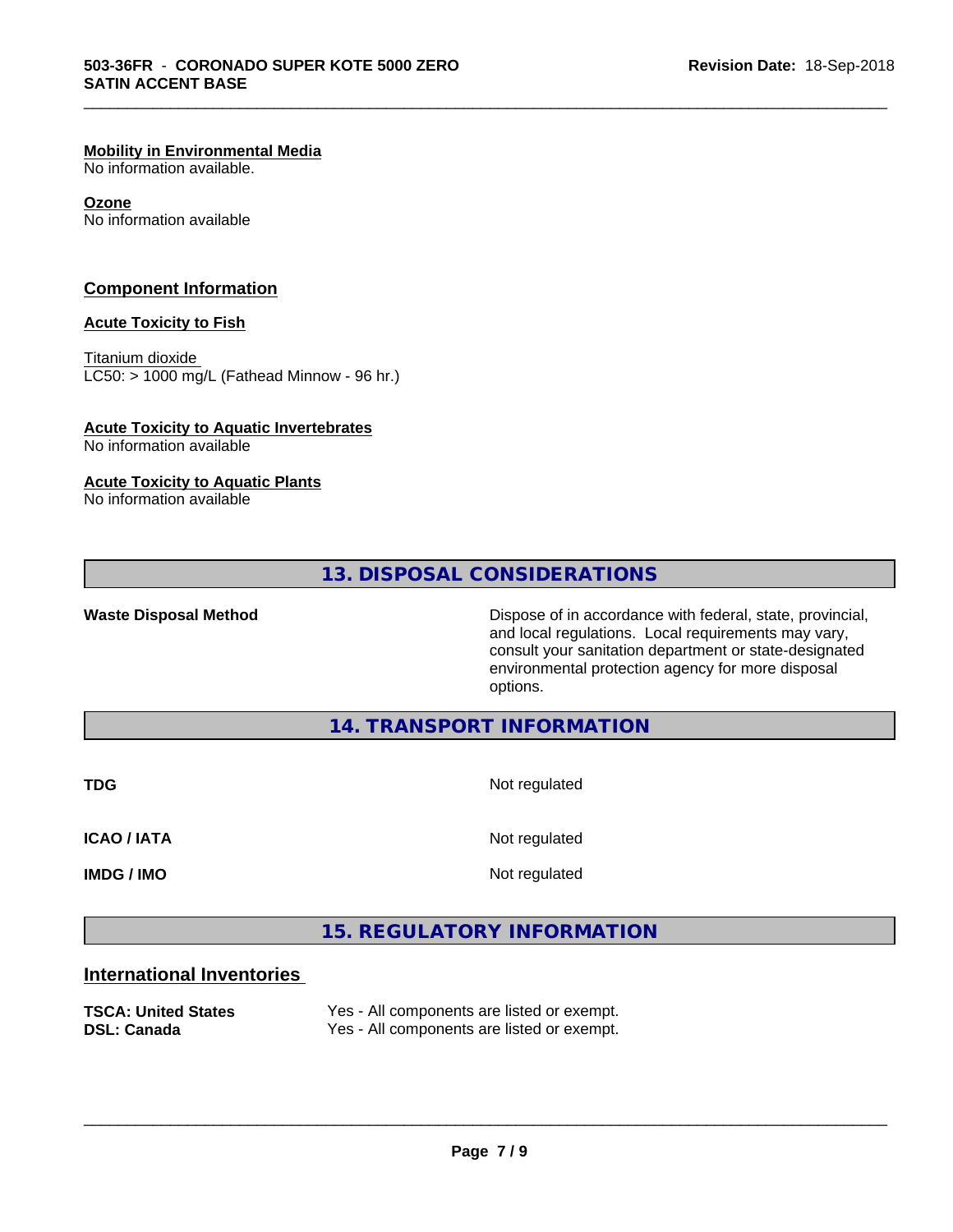#### **Mobility in Environmental Media**

No information available.

#### **Ozone**

No information available

#### **Component Information**

#### **Acute Toxicity to Fish**

Titanium dioxide  $LC50:$  > 1000 mg/L (Fathead Minnow - 96 hr.)

## **Acute Toxicity to Aquatic Invertebrates**

No information available

#### **Acute Toxicity to Aquatic Plants**

No information available

# **13. DISPOSAL CONSIDERATIONS**

Waste Disposal Method **Dispose of in accordance with federal, state, provincial,** and local regulations. Local requirements may vary, consult your sanitation department or state-designated environmental protection agency for more disposal options.

### **14. TRANSPORT INFORMATION**

**TDG** Not regulated

\_\_\_\_\_\_\_\_\_\_\_\_\_\_\_\_\_\_\_\_\_\_\_\_\_\_\_\_\_\_\_\_\_\_\_\_\_\_\_\_\_\_\_\_\_\_\_\_\_\_\_\_\_\_\_\_\_\_\_\_\_\_\_\_\_\_\_\_\_\_\_\_\_\_\_\_\_\_\_\_\_\_\_\_\_\_\_\_\_\_\_\_\_

**ICAO / IATA** Not regulated

**IMDG / IMO** Not regulated

 $\overline{\phantom{a}}$  ,  $\overline{\phantom{a}}$  ,  $\overline{\phantom{a}}$  ,  $\overline{\phantom{a}}$  ,  $\overline{\phantom{a}}$  ,  $\overline{\phantom{a}}$  ,  $\overline{\phantom{a}}$  ,  $\overline{\phantom{a}}$  ,  $\overline{\phantom{a}}$  ,  $\overline{\phantom{a}}$  ,  $\overline{\phantom{a}}$  ,  $\overline{\phantom{a}}$  ,  $\overline{\phantom{a}}$  ,  $\overline{\phantom{a}}$  ,  $\overline{\phantom{a}}$  ,  $\overline{\phantom{a}}$ 

# **15. REGULATORY INFORMATION**

### **International Inventories**

| <b>TSCA: United States</b> | Yes - All components are listed or exempt. |
|----------------------------|--------------------------------------------|
| <b>DSL: Canada</b>         | Yes - All components are listed or exempt. |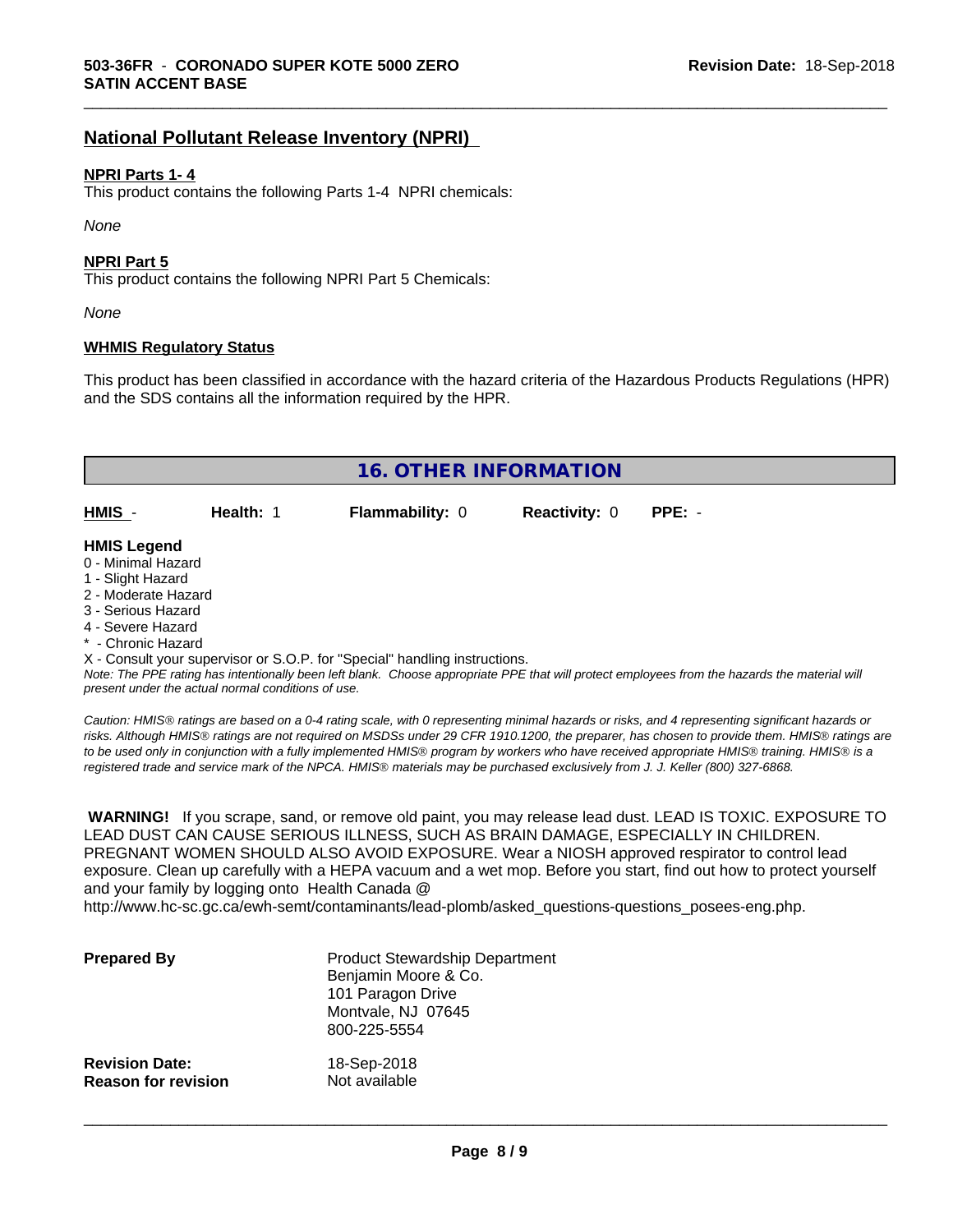# **National Pollutant Release Inventory (NPRI)**

#### **NPRI Parts 1- 4**

This product contains the following Parts 1-4 NPRI chemicals:

*None*

#### **NPRI Part 5**

This product contains the following NPRI Part 5 Chemicals:

*None*

#### **WHMIS Regulatory Status**

This product has been classified in accordance with the hazard criteria of the Hazardous Products Regulations (HPR) and the SDS contains all the information required by the HPR.

\_\_\_\_\_\_\_\_\_\_\_\_\_\_\_\_\_\_\_\_\_\_\_\_\_\_\_\_\_\_\_\_\_\_\_\_\_\_\_\_\_\_\_\_\_\_\_\_\_\_\_\_\_\_\_\_\_\_\_\_\_\_\_\_\_\_\_\_\_\_\_\_\_\_\_\_\_\_\_\_\_\_\_\_\_\_\_\_\_\_\_\_\_

|                                                                                                                                                                                                             |           | <b>16. OTHER INFORMATION</b>                                               |                      |                                                                                                                                               |
|-------------------------------------------------------------------------------------------------------------------------------------------------------------------------------------------------------------|-----------|----------------------------------------------------------------------------|----------------------|-----------------------------------------------------------------------------------------------------------------------------------------------|
|                                                                                                                                                                                                             |           |                                                                            |                      |                                                                                                                                               |
| HMIS -                                                                                                                                                                                                      | Health: 1 | <b>Flammability: 0</b>                                                     | <b>Reactivity: 0</b> | $PPE: -$                                                                                                                                      |
| <b>HMIS Legend</b><br>0 - Minimal Hazard<br>1 - Slight Hazard<br>2 - Moderate Hazard<br>3 - Serious Hazard<br>4 - Severe Hazard<br>* - Chronic Hazard<br>present under the actual normal conditions of use. |           | X - Consult your supervisor or S.O.P. for "Special" handling instructions. |                      | Note: The PPE rating has intentionally been left blank. Choose appropriate PPE that will protect employees from the hazards the material will |

*Caution: HMISÒ ratings are based on a 0-4 rating scale, with 0 representing minimal hazards or risks, and 4 representing significant hazards or risks. Although HMISÒ ratings are not required on MSDSs under 29 CFR 1910.1200, the preparer, has chosen to provide them. HMISÒ ratings are to be used only in conjunction with a fully implemented HMISÒ program by workers who have received appropriate HMISÒ training. HMISÒ is a registered trade and service mark of the NPCA. HMISÒ materials may be purchased exclusively from J. J. Keller (800) 327-6868.*

 **WARNING!** If you scrape, sand, or remove old paint, you may release lead dust. LEAD IS TOXIC. EXPOSURE TO LEAD DUST CAN CAUSE SERIOUS ILLNESS, SUCH AS BRAIN DAMAGE, ESPECIALLY IN CHILDREN. PREGNANT WOMEN SHOULD ALSO AVOID EXPOSURE.Wear a NIOSH approved respirator to control lead exposure. Clean up carefully with a HEPA vacuum and a wet mop. Before you start, find out how to protect yourself and your family by logging onto Health Canada @

http://www.hc-sc.gc.ca/ewh-semt/contaminants/lead-plomb/asked\_questions-questions\_posees-eng.php.

| <b>Prepared By</b>         | <b>Product Stewardship Department</b><br>Benjamin Moore & Co.<br>101 Paragon Drive<br>Montvale, NJ 07645<br>800-225-5554 |
|----------------------------|--------------------------------------------------------------------------------------------------------------------------|
| <b>Revision Date:</b>      | 18-Sep-2018                                                                                                              |
| <b>Reason for revision</b> | Not available                                                                                                            |